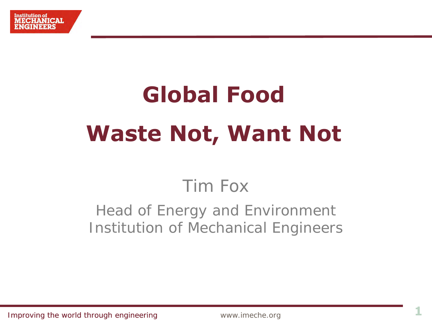# **Global Food Waste Not, Want Not**

## Tim Fox

### Head of Energy and Environment Institution of Mechanical Engineers

Improving the world through engineering **1 1 Marshall** www.imeche.org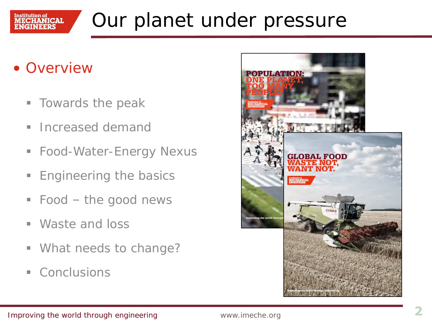

## Our planet under pressure

- Overview
	- **Towards the peak**
	- **Increased demand**
	- Food-Water-Energy Nexus
	- **Engineering the basics**
	- Food the good news
	- Waste and loss
	- **What needs to change?**
	- Conclusions

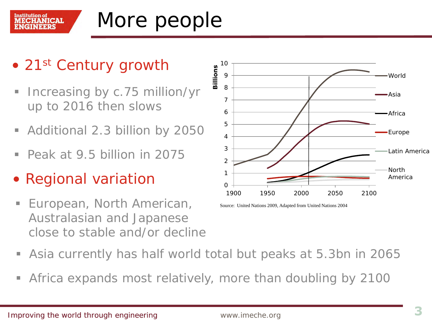

## More people

- 21st Century growth
- **Increasing by c.75 million/yr** up to 2016 then slows
- Additional 2.3 billion by 2050
- Peak at 9.5 billion in 2075
- Regional variation
- European, North American, Australasian and Japanese close to stable and/or decline



Source: United Nations 2009, Adapted from United Nations 2004

- Asia currently has half world total but peaks at 5.3bn in 2065
- Africa expands most relatively, more than doubling by 2100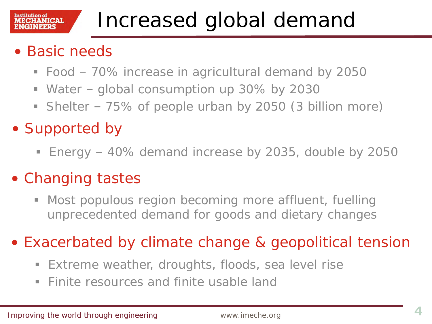## Increased global demand

### • Basic needs

Institution of

**ECHANICAL** 

- Food 70% increase in agricultural demand by 2050
- Water global consumption up 30% by 2030
- Shelter 75% of people urban by 2050 (3 billion more)
- Supported by
	- Energy 40% demand increase by 2035, double by 2050

### • Changing tastes

 Most populous region becoming more affluent, fuelling unprecedented demand for goods and dietary changes

• Exacerbated by climate change & geopolitical tension

- **Extreme weather, droughts, floods, sea level rise**
- **Finite resources and finite usable land**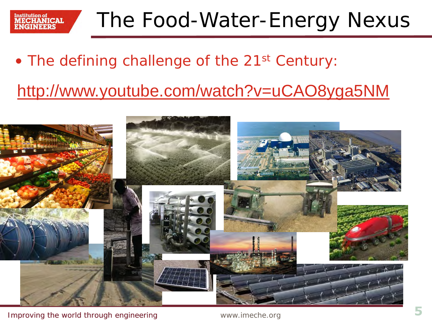

### • The defining challenge of the 21<sup>st</sup> Century:

### <http://www.youtube.com/watch?v=uCAO8yga5NM>

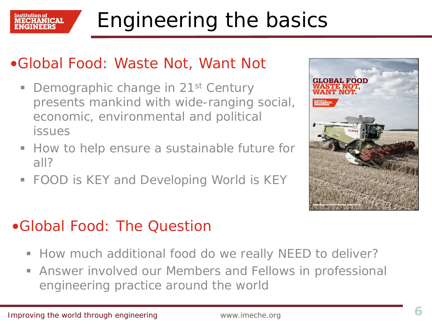

### •Global Food: Waste Not, Want Not

- Demographic change in 21<sup>st</sup> Century presents mankind with wide-ranging social, economic, environmental and political issues
- How to help ensure a sustainable future for all?
- FOOD is KEY and Developing World is KEY



### •Global Food: The Question

- **How much additional food do we really NEED to deliver?**
- Answer involved our Members and Fellows in professional engineering practice around the world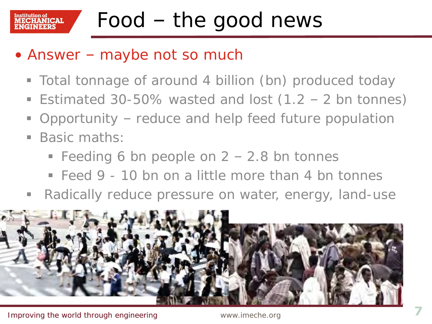## Food – the good news

### • Answer – maybe not so much

- Total tonnage of around 4 billion (bn) produced today
- Estimated 30-50% wasted and lost  $(1.2 2$  bn tonnes)
- Opportunity reduce and help feed future population
- Basic maths:

Institution of

NICAI.

- Feeding 6 bn people on  $2 2.8$  bn tonnes
- $\blacksquare$  Feed 9 10 bn on a little more than 4 bn tonnes
- Radically reduce pressure on water, energy, land-use

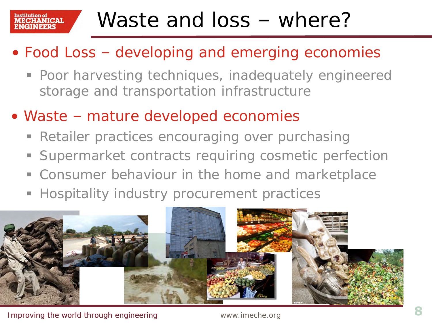#### Institution of **ECHANICAL**

## Waste and loss – where?

- Food Loss developing and emerging economies
	- Poor harvesting techniques, inadequately engineered storage and transportation infrastructure
- Waste mature developed economies
	- **Retailer practices encouraging over purchasing**
	- Supermarket contracts requiring cosmetic perfection
	- Consumer behaviour in the home and marketplace
	- **Hospitality industry procurement practices**

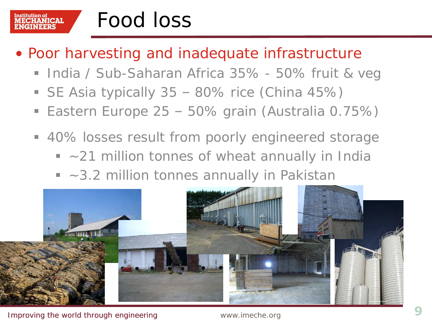#### Institution of<br>**MECHANICAL** Food loss

- Poor harvesting and inadequate infrastructure
	- **India / Sub-Saharan Africa 35% 50% fruit & veg**
	- SE Asia typically 35 80% rice (China 45%)
	- Eastern Europe 25 50% grain (Australia 0.75%)
	- 40% losses result from poorly engineered storage
		- $\sim$  21 million tonnes of wheat annually in India
		- ~3.2 million tonnes annually in Pakistan

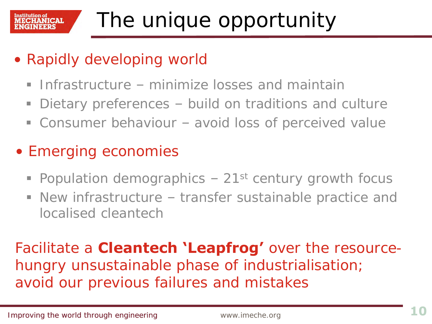- Rapidly developing world
	- **Infrastructure minimize losses and maintain**
	- Dietary preferences build on traditions and culture
	- Consumer behaviour avoid loss of perceived value
- Emerging economies
	- Population demographics  $-21$ <sup>st</sup> century growth focus
	- New infrastructure transfer sustainable practice and localised cleantech

Facilitate a **Cleantech 'Leapfrog'** over the resourcehungry unsustainable phase of industrialisation; avoid our previous failures and mistakes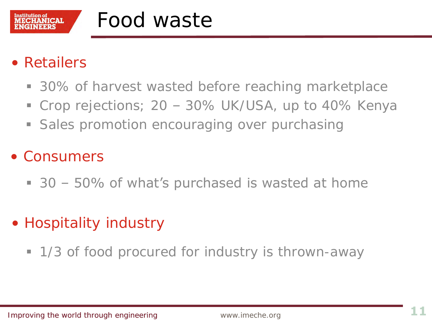

### Food waste

### • Retailers

- 30% of harvest wasted before reaching marketplace
- Crop rejections; 20 30% UK/USA, up to 40% Kenya
- **Sales promotion encouraging over purchasing**

### • Consumers

- 30 50% of what's purchased is wasted at home
- Hospitality industry
	- 1/3 of food procured for industry is thrown-away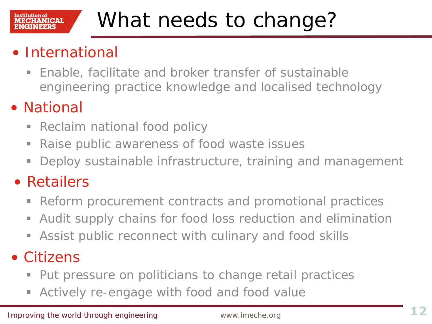#### Institution of **ECHANICAL**

## What needs to change?

### • International

 Enable, facilitate and broker transfer of sustainable engineering practice knowledge and localised technology

### • National

- **Reclaim national food policy**
- **Raise public awareness of food waste issues**
- **Deploy sustainable infrastructure, training and management**
- Retailers
	- Reform procurement contracts and promotional practices
	- Audit supply chains for food loss reduction and elimination
	- Assist public reconnect with culinary and food skills

### • Citizens

- **Put pressure on politicians to change retail practices**
- Actively re-engage with food and food value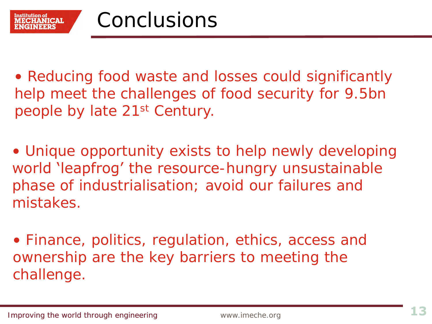• Reducing food waste and losses could significantly help meet the challenges of food security for 9.5bn people by late 21st Century.

• Unique opportunity exists to help newly developing world 'leapfrog' the resource-hungry unsustainable phase of industrialisation; avoid our failures and mistakes.

• Finance, politics, regulation, ethics, access and ownership are the key barriers to meeting the challenge.